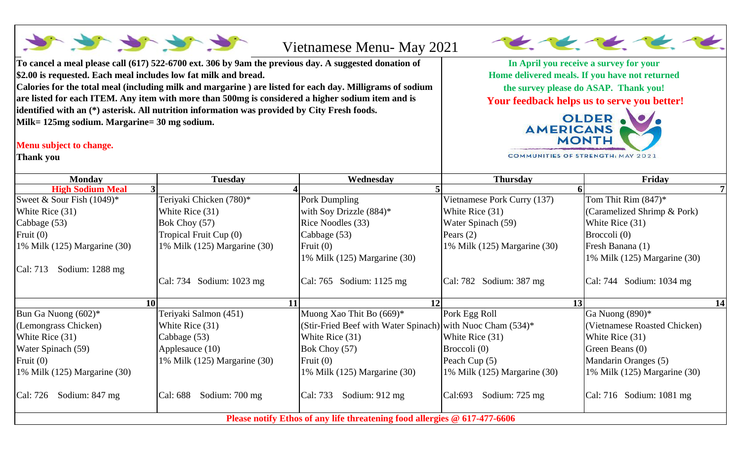| to the the file<br>Vietnamese Menu- May 2021                                                                                                                                                                                                                                                                                                                                             |                                                                                                                   |
|------------------------------------------------------------------------------------------------------------------------------------------------------------------------------------------------------------------------------------------------------------------------------------------------------------------------------------------------------------------------------------------|-------------------------------------------------------------------------------------------------------------------|
| To cancel a meal please call (617) 522-6700 ext. 306 by 9am the previous day. A suggested donation of                                                                                                                                                                                                                                                                                    | In April you receive a survey for your                                                                            |
| \$2.00 is requested. Each meal includes low fat milk and bread.                                                                                                                                                                                                                                                                                                                          | Home delivered meals. If you have not returned                                                                    |
| Calories for the total meal (including milk and margarine) are listed for each day. Milligrams of sodium<br>are listed for each ITEM. Any item with more than 500mg is considered a higher sodium item and is<br>identified with an (*) asterisk. All nutrition information was provided by City Fresh foods.<br>Milk= 125mg sodium. Margarine= 30 mg sodium.<br>Menu subject to change. | the survey please do ASAP. Thank you!<br>Your feedback helps us to serve you better!<br>AMERICANS<br><b>MONTH</b> |

**COMMUNITIES OF STRENGTH: MAY 2021** 

Ξ

**Thank you** 

| <b>Monday</b>                    | <b>Tuesday</b>               | Wednesday                                                                 | <b>Thursday</b>              | Friday                             |    |
|----------------------------------|------------------------------|---------------------------------------------------------------------------|------------------------------|------------------------------------|----|
| <b>High Sodium Meal</b>          |                              |                                                                           |                              |                                    |    |
| Sweet & Sour Fish $(1049)^*$     | Teriyaki Chicken (780)*      | Pork Dumpling                                                             | Vietnamese Pork Curry (137)  | Tom Thit Rim $(847)^*$             |    |
| White Rice (31)                  | White Rice $(31)$            | with Soy Drizzle (884)*                                                   | White Rice (31)              | (Caramelized Shrimp & Pork)        |    |
| Cabbage (53)                     | Bok Choy $(57)$              | Rice Noodles (33)                                                         | Water Spinach (59)           | White Rice $(31)$                  |    |
| Fruit $(0)$                      | Tropical Fruit Cup (0)       | Cabbage (53)                                                              | Pears $(2)$                  | Broccoli $(0)$                     |    |
| 1% Milk $(125)$ Margarine $(30)$ | 1% Milk (125) Margarine (30) | Fruit $(0)$                                                               | 1% Milk (125) Margarine (30) | Fresh Banana (1)                   |    |
|                                  |                              | 1% Milk (125) Margarine (30)                                              |                              | 1% Milk (125) Margarine (30)       |    |
| Cal: 713<br>Sodium: $1288$ mg    |                              |                                                                           |                              |                                    |    |
|                                  | Cal: 734 Sodium: 1023 mg     | $\text{Cal: } 765$ Sodium: 1125 mg                                        | Cal: 782 Sodium: 387 mg      | $\text{Cal: } 744$ Sodium: 1034 mg |    |
|                                  | 10 <sup>1</sup>              | 12<br>11                                                                  |                              | 13                                 | 14 |
| Bun Ga Nuong $(602)^*$           | Teriyaki Salmon (451)        | Muong Xao Thit Bo (669)*                                                  | Pork Egg Roll                | Ga Nuong $(890)*$                  |    |
| (Lemongrass Chicken)             | White Rice (31)              | (Stir-Fried Beef with Water Spinach) with Nuoc Cham (534)*                |                              | (Vietnamese Roasted Chicken)       |    |
| White Rice $(31)$                | Cabbage (53)                 | White Rice (31)                                                           | White Rice (31)              | White Rice $(31)$                  |    |
| Water Spinach (59)               | Applesauce (10)              | Bok Choy (57)                                                             | Broccoli (0)                 | Green Beans (0)                    |    |
| Fruit $(0)$                      | 1% Milk (125) Margarine (30) | Fruit $(0)$                                                               | Peach Cup (5)                | Mandarin Oranges (5)               |    |
| 1% Milk $(125)$ Margarine $(30)$ |                              | 1% Milk (125) Margarine (30)                                              | 1% Milk (125) Margarine (30) | 1% Milk (125) Margarine (30)       |    |
| Cal: 726<br>Sodium: 847 mg       | Cal: 688<br>Sodium: 700 mg   | Cal: 733<br>Sodium: $912 \text{ mg}$                                      | Cal:693<br>Sodium: 725 mg    | $\vert$ Cal: 716 Sodium: 1081 mg   |    |
|                                  |                              | Please notify Ethos of any life threatening food allergies @ 617-477-6606 |                              |                                    |    |